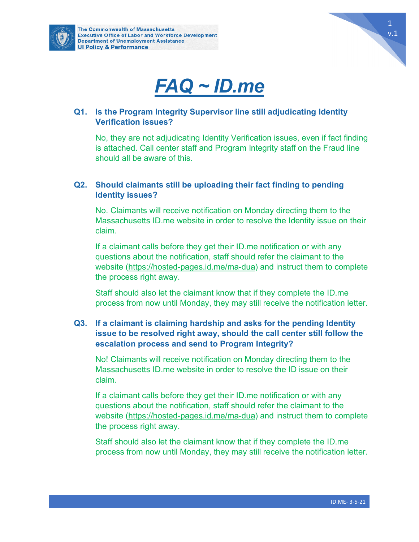





### **Q1. Is the Program Integrity Supervisor line still adjudicating Identity Verification issues?**

No, they are not adjudicating Identity Verification issues, even if fact finding is attached. Call center staff and Program Integrity staff on the Fraud line should all be aware of this.

## **Q2. Should claimants still be uploading their fact finding to pending Identity issues?**

No. Claimants will receive notification on Monday directing them to the Massachusetts ID.me website in order to resolve the Identity issue on their claim.

If a claimant calls before they get their ID.me notification or with any questions about the notification, staff should refer the claimant to the website [\(https://hosted-pages.id.me/ma-dua\)](https://hosted-pages.id.me/ma-dua) and instruct them to complete the process right away.

Staff should also let the claimant know that if they complete the ID.me process from now until Monday, they may still receive the notification letter.

## **Q3. If a claimant is claiming hardship and asks for the pending Identity issue to be resolved right away, should the call center still follow the escalation process and send to Program Integrity?**

No! Claimants will receive notification on Monday directing them to the Massachusetts ID.me website in order to resolve the ID issue on their claim.

If a claimant calls before they get their ID.me notification or with any questions about the notification, staff should refer the claimant to the website [\(https://hosted-pages.id.me/ma-dua\)](https://hosted-pages.id.me/ma-dua) and instruct them to complete the process right away.

Staff should also let the claimant know that if they complete the ID.me process from now until Monday, they may still receive the notification letter.